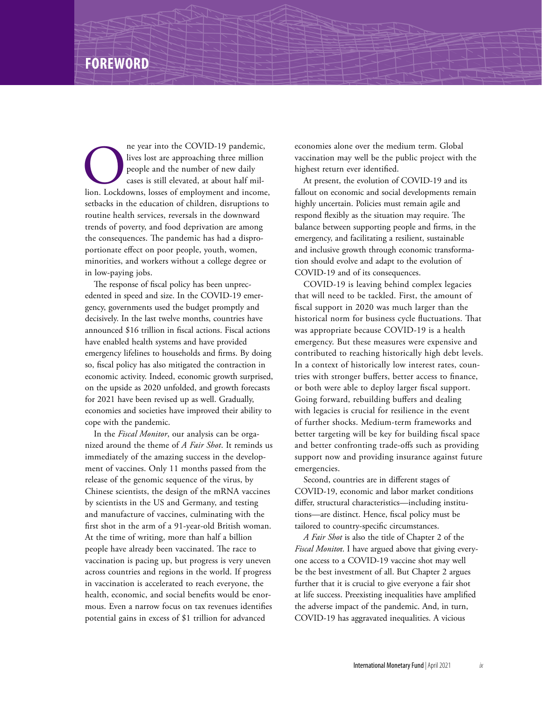## **FOREWORD**

The year into the COVID-19 pandemic, lives lost are approaching three million people and the number of new daily cases is still elevated, at about half million. Lockdowns, losses of employment and income, lives lost are approaching three million people and the number of new daily cases is still elevated, at about half milsetbacks in the education of children, disruptions to routine health services, reversals in the downward trends of poverty, and food deprivation are among the consequences. The pandemic has had a disproportionate effect on poor people, youth, women, minorities, and workers without a college degree or in low-paying jobs.

The response of fiscal policy has been unprecedented in speed and size. In the COVID-19 emergency, governments used the budget promptly and decisively. In the last twelve months, countries have announced \$16 trillion in fiscal actions. Fiscal actions have enabled health systems and have provided emergency lifelines to households and firms. By doing so, fiscal policy has also mitigated the contraction in economic activity. Indeed, economic growth surprised, on the upside as 2020 unfolded, and growth forecasts for 2021 have been revised up as well. Gradually, economies and societies have improved their ability to cope with the pandemic.

In the *Fiscal Monitor*, our analysis can be organized around the theme of *A Fair Shot*. It reminds us immediately of the amazing success in the development of vaccines. Only 11 months passed from the release of the genomic sequence of the virus, by Chinese scientists, the design of the mRNA vaccines by scientists in the US and Germany, and testing and manufacture of vaccines, culminating with the first shot in the arm of a 91-year-old British woman. At the time of writing, more than half a billion people have already been vaccinated. The race to vaccination is pacing up, but progress is very uneven across countries and regions in the world. If progress in vaccination is accelerated to reach everyone, the health, economic, and social benefits would be enormous. Even a narrow focus on tax revenues identifies potential gains in excess of \$1 trillion for advanced

economies alone over the medium term. Global vaccination may well be the public project with the highest return ever identified.

At present, the evolution of COVID-19 and its fallout on economic and social developments remain highly uncertain. Policies must remain agile and respond flexibly as the situation may require. The balance between supporting people and firms, in the emergency, and facilitating a resilient, sustainable and inclusive growth through economic transformation should evolve and adapt to the evolution of COVID-19 and of its consequences.

COVID-19 is leaving behind complex legacies that will need to be tackled. First, the amount of fiscal support in 2020 was much larger than the historical norm for business cycle fluctuations. That was appropriate because COVID-19 is a health emergency. But these measures were expensive and contributed to reaching historically high debt levels. In a context of historically low interest rates, countries with stronger buffers, better access to finance, or both were able to deploy larger fiscal support. Going forward, rebuilding buffers and dealing with legacies is crucial for resilience in the event of further shocks. Medium-term frameworks and better targeting will be key for building fiscal space and better confronting trade-offs such as providing support now and providing insurance against future emergencies.

Second, countries are in different stages of COVID-19, economic and labor market conditions differ, structural characteristics—including institutions—are distinct. Hence, fiscal policy must be tailored to country-specific circumstances.

*A Fair Shot* is also the title of Chapter 2 of the *Fiscal Monito*r. I have argued above that giving everyone access to a COVID-19 vaccine shot may well be the best investment of all. But Chapter 2 argues further that it is crucial to give everyone a fair shot at life success. Preexisting inequalities have amplified the adverse impact of the pandemic. And, in turn, COVID-19 has aggravated inequalities. A vicious